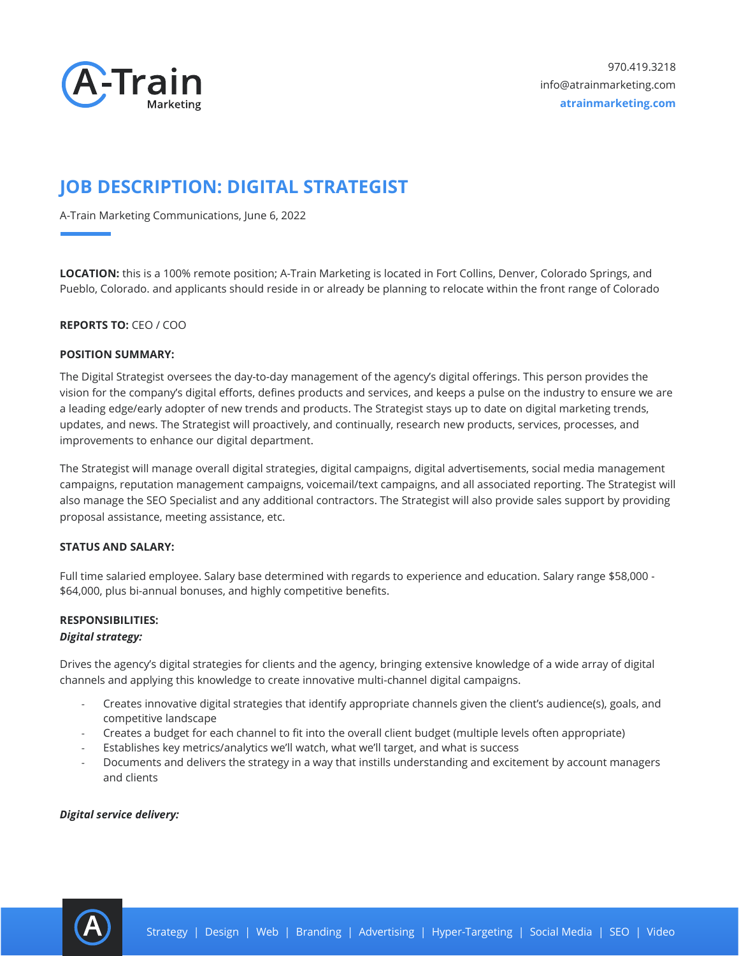

# **JOB DESCRIPTION: DIGITAL STRATEGIST**

A-Train Marketing Communications, June 6, 2022

**LOCATION:** this is a 100% remote position; A-Train Marketing is located in Fort Collins, Denver, Colorado Springs, and Pueblo, Colorado. and applicants should reside in or already be planning to relocate within the front range of Colorado

# **REPORTS TO:** CEO / COO

#### **POSITION SUMMARY:**

The Digital Strategist oversees the day-to-day management of the agency's digital offerings. This person provides the vision for the company's digital efforts, defines products and services, and keeps a pulse on the industry to ensure we are a leading edge/early adopter of new trends and products. The Strategist stays up to date on digital marketing trends, updates, and news. The Strategist will proactively, and continually, research new products, services, processes, and improvements to enhance our digital department.

The Strategist will manage overall digital strategies, digital campaigns, digital advertisements, social media management campaigns, reputation management campaigns, voicemail/text campaigns, and all associated reporting. The Strategist will also manage the SEO Specialist and any additional contractors. The Strategist will also provide sales support by providing proposal assistance, meeting assistance, etc.

# **STATUS AND SALARY:**

Full time salaried employee. Salary base determined with regards to experience and education. Salary range \$58,000 - \$64,000, plus bi-annual bonuses, and highly competitive benefits.

# **RESPONSIBILITIES:**

# *Digital strategy:*

Drives the agency's digital strategies for clients and the agency, bringing extensive knowledge of a wide array of digital channels and applying this knowledge to create innovative multi-channel digital campaigns.

- Creates innovative digital strategies that identify appropriate channels given the client's audience(s), goals, and competitive landscape
- Creates a budget for each channel to fit into the overall client budget (multiple levels often appropriate)
- Establishes key metrics/analytics we'll watch, what we'll target, and what is success
- Documents and delivers the strategy in a way that instills understanding and excitement by account managers and clients

#### *Digital service delivery:*

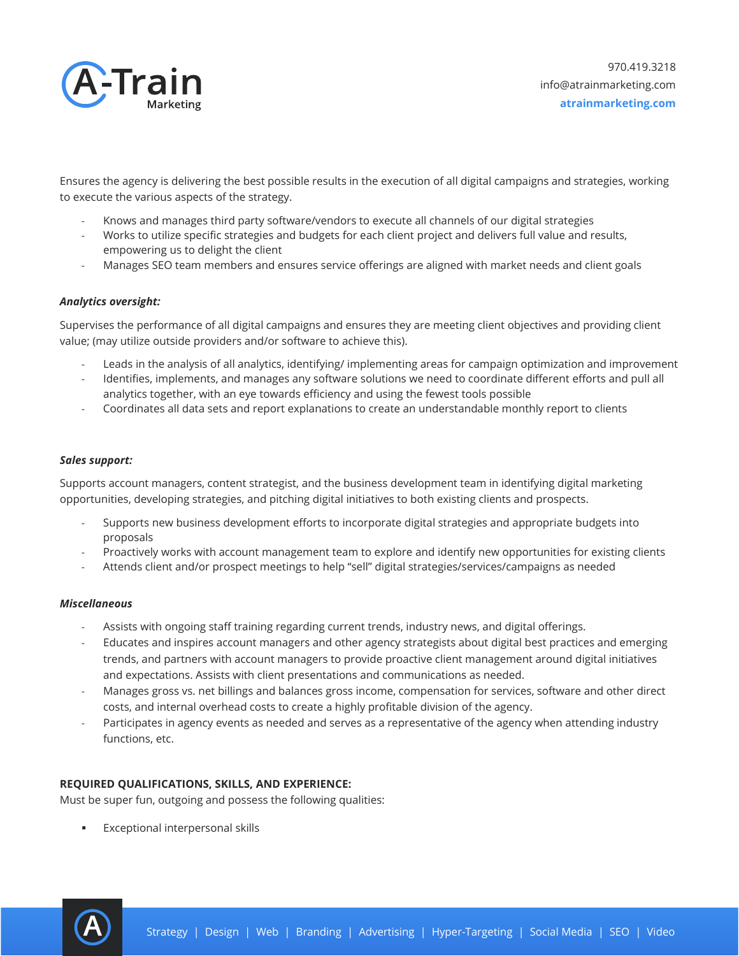

Ensures the agency is delivering the best possible results in the execution of all digital campaigns and strategies, working to execute the various aspects of the strategy.

- Knows and manages third party software/vendors to execute all channels of our digital strategies
- Works to utilize specific strategies and budgets for each client project and delivers full value and results, empowering us to delight the client
- Manages SEO team members and ensures service offerings are aligned with market needs and client goals

#### *Analytics oversight:*

Supervises the performance of all digital campaigns and ensures they are meeting client objectives and providing client value; (may utilize outside providers and/or software to achieve this).

- Leads in the analysis of all analytics, identifying/ implementing areas for campaign optimization and improvement
- Identifies, implements, and manages any software solutions we need to coordinate different efforts and pull all analytics together, with an eye towards efficiency and using the fewest tools possible
- Coordinates all data sets and report explanations to create an understandable monthly report to clients

#### *Sales support:*

Supports account managers, content strategist, and the business development team in identifying digital marketing opportunities, developing strategies, and pitching digital initiatives to both existing clients and prospects.

- Supports new business development efforts to incorporate digital strategies and appropriate budgets into proposals
- Proactively works with account management team to explore and identify new opportunities for existing clients
- Attends client and/or prospect meetings to help "sell" digital strategies/services/campaigns as needed

#### *Miscellaneous*

- Assists with ongoing staff training regarding current trends, industry news, and digital offerings.
- Educates and inspires account managers and other agency strategists about digital best practices and emerging trends, and partners with account managers to provide proactive client management around digital initiatives and expectations. Assists with client presentations and communications as needed.
- Manages gross vs. net billings and balances gross income, compensation for services, software and other direct costs, and internal overhead costs to create a highly profitable division of the agency.
- Participates in agency events as needed and serves as a representative of the agency when attending industry functions, etc.

# **REQUIRED QUALIFICATIONS, SKILLS, AND EXPERIENCE:**

Must be super fun, outgoing and possess the following qualities:

Exceptional interpersonal skills